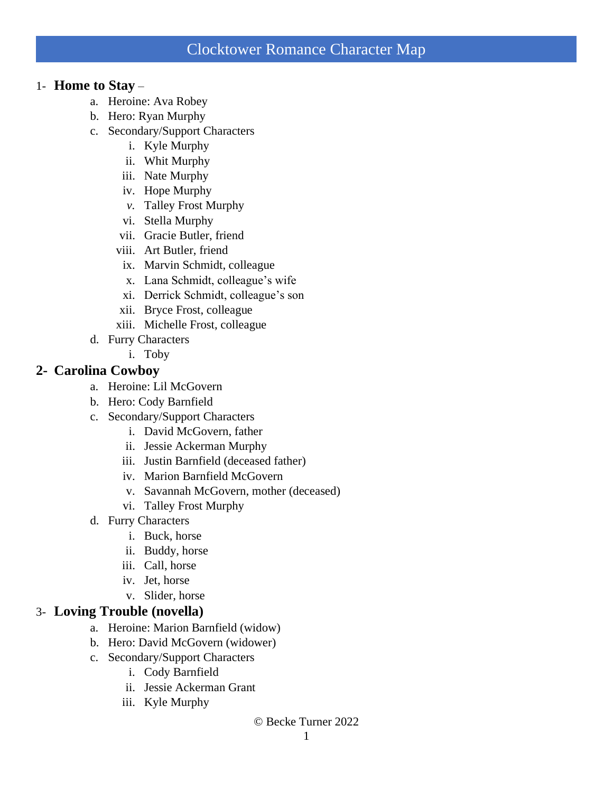### 1- **Home to Stay** –

- a. Heroine: Ava Robey
- b. Hero: Ryan Murphy
- c. Secondary/Support Characters
	- i. Kyle Murphy
	- ii. Whit Murphy
	- iii. Nate Murphy
	- iv. Hope Murphy
	- *v.* Talley Frost Murphy
	- vi. Stella Murphy
	- vii. Gracie Butler, friend
	- viii. Art Butler, friend
	- ix. Marvin Schmidt, colleague
	- x. Lana Schmidt, colleague's wife
	- xi. Derrick Schmidt, colleague's son
	- xii. Bryce Frost, colleague
	- xiii. Michelle Frost, colleague
- d. Furry Characters
	- i. Toby

## **2- Carolina Cowboy**

- a. Heroine: Lil McGovern
- b. Hero: Cody Barnfield
- c. Secondary/Support Characters
	- i. David McGovern, father
	- ii. Jessie Ackerman Murphy
	- iii. Justin Barnfield (deceased father)
	- iv. Marion Barnfield McGovern
	- v. Savannah McGovern, mother (deceased)
	- vi. Talley Frost Murphy
- d. Furry Characters
	- i. Buck, horse
	- ii. Buddy, horse
	- iii. Call, horse
	- iv. Jet, horse
	- v. Slider, horse

## 3- **Loving Trouble (novella)**

- a. Heroine: Marion Barnfield (widow)
- b. Hero: David McGovern (widower)
- c. Secondary/Support Characters
	- i. Cody Barnfield
	- ii. Jessie Ackerman Grant
	- iii. Kyle Murphy

#### © Becke Turner 2022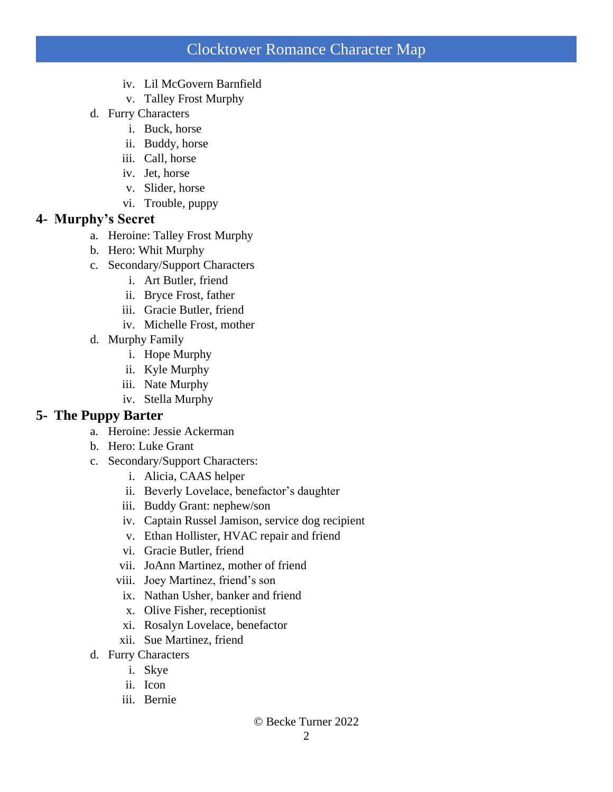- iv. Lil McGovern Barnfield
- v. Talley Frost Murphy
- d. Furry Characters
	- i. Buck, horse
	- ii. Buddy, horse
	- iii. Call, horse
	- iv. Jet, horse
	- v. Slider, horse
	- vi. Trouble, puppy

# **4- Murphy's Secret**

- a. Heroine: Talley Frost Murphy
- b. Hero: Whit Murphy
- c. Secondary/Support Characters
	- i. Art Butler, friend
	- ii. Bryce Frost, father
	- iii. Gracie Butler, friend
	- iv. Michelle Frost, mother
- d. Murphy Family
	- i. Hope Murphy
	- ii. Kyle Murphy
	- iii. Nate Murphy
	- iv. Stella Murphy

## **5- The Puppy Barter**

- a. Heroine: Jessie Ackerman
- b. Hero: Luke Grant
- c. Secondary/Support Characters:
	- i. Alicia, CAAS helper
	- ii. Beverly Lovelace, benefactor's daughter
	- iii. Buddy Grant: nephew/son
	- iv. Captain Russel Jamison, service dog recipient
	- v. Ethan Hollister, HVAC repair and friend
	- vi. Gracie Butler, friend
	- vii. JoAnn Martinez, mother of friend
	- viii. Joey Martinez, friend's son
	- ix. Nathan Usher, banker and friend
	- x. Olive Fisher, receptionist
	- xi. Rosalyn Lovelace, benefactor
	- xii. Sue Martinez, friend
- d. Furry Characters
	- i. Skye
	- ii. Icon
	- iii. Bernie

#### © Becke Turner 2022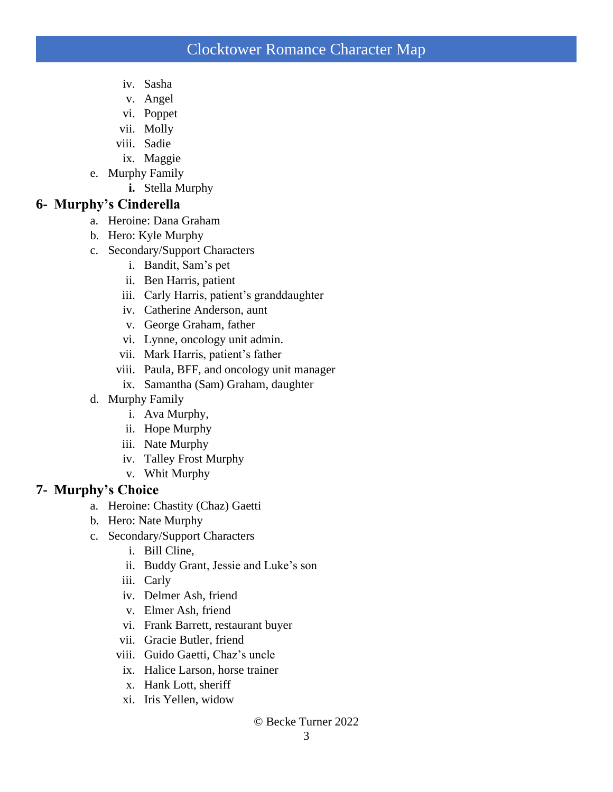- iv. Sasha
- v. Angel
- vi. Poppet
- vii. Molly
- viii. Sadie
- ix. Maggie
- e. Murphy Family
	- **i.** Stella Murphy

## **6- Murphy's Cinderella**

- a. Heroine: Dana Graham
- b. Hero: Kyle Murphy
- c. Secondary/Support Characters
	- i. Bandit, Sam's pet
	- ii. Ben Harris, patient
	- iii. Carly Harris, patient's granddaughter
	- iv. Catherine Anderson, aunt
	- v. George Graham, father
	- vi. Lynne, oncology unit admin.
	- vii. Mark Harris, patient's father
	- viii. Paula, BFF, and oncology unit manager
	- ix. Samantha (Sam) Graham, daughter
- d. Murphy Family
	- i. Ava Murphy,
	- ii. Hope Murphy
	- iii. Nate Murphy
	- iv. Talley Frost Murphy
	- v. Whit Murphy

## **7- Murphy's Choice**

- a. Heroine: Chastity (Chaz) Gaetti
- b. Hero: Nate Murphy
- c. Secondary/Support Characters
	- i. Bill Cline,
	- ii. Buddy Grant, Jessie and Luke's son
	- iii. Carly
	- iv. Delmer Ash, friend
	- v. Elmer Ash, friend
	- vi. Frank Barrett, restaurant buyer
	- vii. Gracie Butler, friend
	- viii. Guido Gaetti, Chaz's uncle
	- ix. Halice Larson, horse trainer
	- x. Hank Lott, sheriff
	- xi. Iris Yellen, widow

#### © Becke Turner 2022